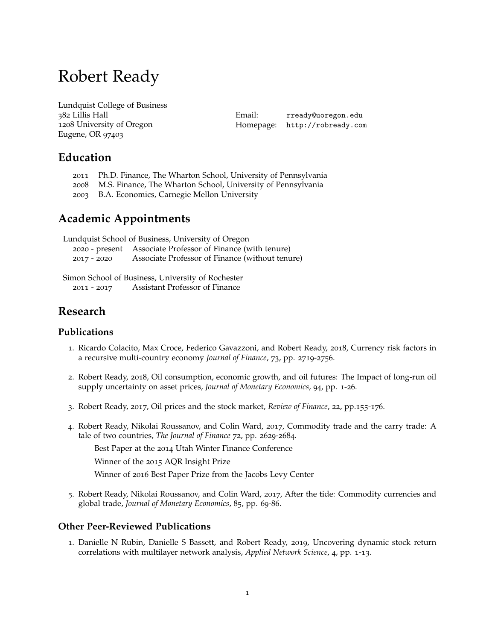# Robert Ready

Lundquist College of Business 382 Lillis Hall 1208 University of Oregon Eugene, OR 97403

Email: [rready@uoregon.edu](mailto:rready@uoregon.edu) Homepage: [http://robready.com](http:robready.com)

# **Education**

- 2011 Ph.D. Finance, The Wharton School, University of Pennsylvania
- 2008 M.S. Finance, The Wharton School, University of Pennsylvania
- 2003 B.A. Economics, Carnegie Mellon University

# **Academic Appointments**

Lundquist School of Business, University of Oregon 2020 - present Associate Professor of Finance (with tenure) 2017 - 2020 Associate Professor of Finance (without tenure)

Simon School of Business, University of Rochester 2011 - 2017 Assistant Professor of Finance

# **Research**

#### **Publications**

- 1. Ricardo Colacito, Max Croce, Federico Gavazzoni, and Robert Ready, 2018, Currency risk factors in a recursive multi-country economy *Journal of Finance*, 73, pp. 2719-2756.
- 2. Robert Ready, 2018, Oil consumption, economic growth, and oil futures: The Impact of long-run oil supply uncertainty on asset prices, *Journal of Monetary Economics*, 94, pp. 1-26.
- 3. Robert Ready, 2017, Oil prices and the stock market, *Review of Finance*, 22, pp.155-176.
- 4. Robert Ready, Nikolai Roussanov, and Colin Ward, 2017, Commodity trade and the carry trade: A tale of two countries, *The Journal of Finance* 72, pp. 2629-2684.

Best Paper at the 2014 Utah Winter Finance Conference

Winner of the 2015 AQR Insight Prize

Winner of 2016 Best Paper Prize from the Jacobs Levy Center

5. Robert Ready, Nikolai Roussanov, and Colin Ward, 2017, After the tide: Commodity currencies and global trade, *Journal of Monetary Economics*, 85, pp. 69-86.

#### **Other Peer-Reviewed Publications**

1. Danielle N Rubin, Danielle S Bassett, and Robert Ready, 2019, Uncovering dynamic stock return correlations with multilayer network analysis, *Applied Network Science*, 4, pp. 1-13.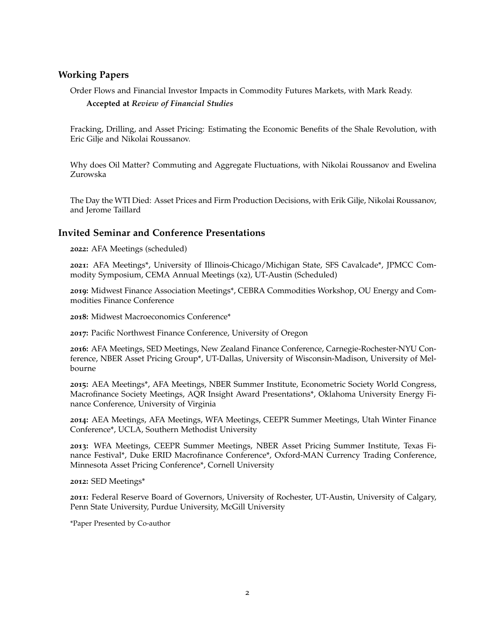#### **Working Papers**

Order Flows and Financial Investor Impacts in Commodity Futures Markets, with Mark Ready.

#### **Accepted at** *Review of Financial Studies*

Fracking, Drilling, and Asset Pricing: Estimating the Economic Benefits of the Shale Revolution, with Eric Gilje and Nikolai Roussanov.

Why does Oil Matter? Commuting and Aggregate Fluctuations, with Nikolai Roussanov and Ewelina Zurowska

The Day the WTI Died: Asset Prices and Firm Production Decisions, with Erik Gilje, Nikolai Roussanov, and Jerome Taillard

#### **Invited Seminar and Conference Presentations**

**2022:** AFA Meetings (scheduled)

**2021:** AFA Meetings\*, University of Illinois-Chicago/Michigan State, SFS Cavalcade\*, JPMCC Commodity Symposium, CEMA Annual Meetings (x2), UT-Austin (Scheduled)

**2019:** Midwest Finance Association Meetings\*, CEBRA Commodities Workshop, OU Energy and Commodities Finance Conference

**2018:** Midwest Macroeconomics Conference\*

**2017:** Pacific Northwest Finance Conference, University of Oregon

**2016:** AFA Meetings, SED Meetings, New Zealand Finance Conference, Carnegie-Rochester-NYU Conference, NBER Asset Pricing Group\*, UT-Dallas, University of Wisconsin-Madison, University of Melbourne

**2015:** AEA Meetings\*, AFA Meetings, NBER Summer Institute, Econometric Society World Congress, Macrofinance Society Meetings, AQR Insight Award Presentations\*, Oklahoma University Energy Finance Conference, University of Virginia

**2014:** AEA Meetings, AFA Meetings, WFA Meetings, CEEPR Summer Meetings, Utah Winter Finance Conference\*, UCLA, Southern Methodist University

**2013:** WFA Meetings, CEEPR Summer Meetings, NBER Asset Pricing Summer Institute, Texas Finance Festival\*, Duke ERID Macrofinance Conference\*, Oxford-MAN Currency Trading Conference, Minnesota Asset Pricing Conference\*, Cornell University

**2012:** SED Meetings\*

**2011:** Federal Reserve Board of Governors, University of Rochester, UT-Austin, University of Calgary, Penn State University, Purdue University, McGill University

\*Paper Presented by Co-author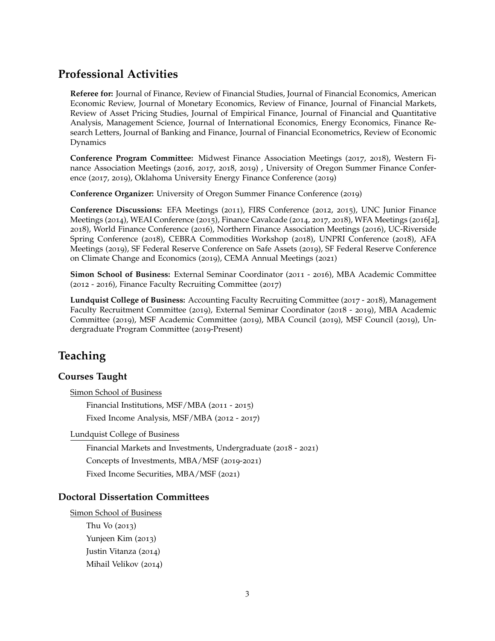# **Professional Activities**

**Referee for:** Journal of Finance, Review of Financial Studies, Journal of Financial Economics, American Economic Review, Journal of Monetary Economics, Review of Finance, Journal of Financial Markets, Review of Asset Pricing Studies, Journal of Empirical Finance, Journal of Financial and Quantitative Analysis, Management Science, Journal of International Economics, Energy Economics, Finance Research Letters, Journal of Banking and Finance, Journal of Financial Econometrics, Review of Economic Dynamics

**Conference Program Committee:** Midwest Finance Association Meetings (2017, 2018), Western Finance Association Meetings (2016, 2017, 2018, 2019) , University of Oregon Summer Finance Conference (2017, 2019), Oklahoma University Energy Finance Conference (2019)

**Conference Organizer:** University of Oregon Summer Finance Conference (2019)

**Conference Discussions:** EFA Meetings (2011), FIRS Conference (2012, 2015), UNC Junior Finance Meetings (2014), WEAI Conference (2015), Finance Cavalcade (2014, 2017, 2018), WFA Meetings (2016[2], 2018), World Finance Conference (2016), Northern Finance Association Meetings (2016), UC-Riverside Spring Conference (2018), CEBRA Commodities Workshop (2018), UNPRI Conference (2018), AFA Meetings (2019), SF Federal Reserve Conference on Safe Assets (2019), SF Federal Reserve Conference on Climate Change and Economics (2019), CEMA Annual Meetings (2021)

**Simon School of Business:** External Seminar Coordinator (2011 - 2016), MBA Academic Committee (2012 - 2016), Finance Faculty Recruiting Committee (2017)

**Lundquist College of Business:** Accounting Faculty Recruiting Committee (2017 - 2018), Management Faculty Recruitment Committee (2019), External Seminar Coordinator (2018 - 2019), MBA Academic Committee (2019), MSF Academic Committee (2019), MBA Council (2019), MSF Council (2019), Undergraduate Program Committee (2019-Present)

# **Teaching**

#### **Courses Taught**

Simon School of Business

Financial Institutions, MSF/MBA (2011 - 2015)

Fixed Income Analysis, MSF/MBA (2012 - 2017)

Lundquist College of Business

Financial Markets and Investments, Undergraduate (2018 - 2021) Concepts of Investments, MBA/MSF (2019-2021) Fixed Income Securities, MBA/MSF (2021)

#### **Doctoral Dissertation Committees**

Simon School of Business Thu Vo (2013) Yunjeen Kim (2013) Justin Vitanza (2014) Mihail Velikov (2014)